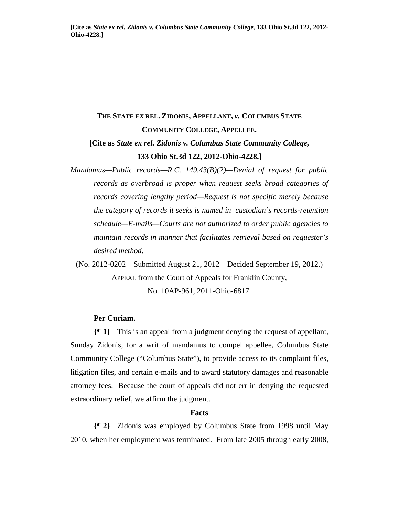# **THE STATE EX REL. ZIDONIS, APPELLANT,** *v.* **COLUMBUS STATE COMMUNITY COLLEGE, APPELLEE. [Cite as** *State ex rel. Zidonis v. Columbus State Community College,*

## **133 Ohio St.3d 122, 2012-Ohio-4228.]**

*Mandamus—Public records—R.C. 149.43(B)(2)—Denial of request for public records as overbroad is proper when request seeks broad categories of records covering lengthy period—Request is not specific merely because the category of records it seeks is named in custodian's records-retention schedule—E-mails—Courts are not authorized to order public agencies to maintain records in manner that facilitates retrieval based on requester's desired method.* 

(No. 2012-0202—Submitted August 21, 2012—Decided September 19, 2012.) APPEAL from the Court of Appeals for Franklin County, No. 10AP-961, 2011-Ohio-6817.

\_\_\_\_\_\_\_\_\_\_\_\_\_\_\_\_\_\_

## **Per Curiam.**

**{¶ 1}** This is an appeal from a judgment denying the request of appellant, Sunday Zidonis, for a writ of mandamus to compel appellee, Columbus State Community College ("Columbus State"), to provide access to its complaint files, litigation files, and certain e-mails and to award statutory damages and reasonable attorney fees. Because the court of appeals did not err in denying the requested extraordinary relief, we affirm the judgment.

#### **Facts**

**{¶ 2}** Zidonis was employed by Columbus State from 1998 until May 2010, when her employment was terminated. From late 2005 through early 2008,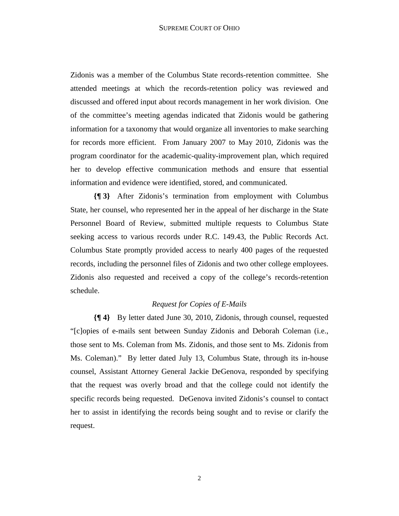Zidonis was a member of the Columbus State records-retention committee. She attended meetings at which the records-retention policy was reviewed and discussed and offered input about records management in her work division. One of the committee's meeting agendas indicated that Zidonis would be gathering information for a taxonomy that would organize all inventories to make searching for records more efficient. From January 2007 to May 2010, Zidonis was the program coordinator for the academic-quality-improvement plan, which required her to develop effective communication methods and ensure that essential information and evidence were identified, stored, and communicated.

**{¶ 3}** After Zidonis's termination from employment with Columbus State, her counsel, who represented her in the appeal of her discharge in the State Personnel Board of Review, submitted multiple requests to Columbus State seeking access to various records under R.C. 149.43, the Public Records Act. Columbus State promptly provided access to nearly 400 pages of the requested records, including the personnel files of Zidonis and two other college employees. Zidonis also requested and received a copy of the college's records-retention schedule.

## *Request for Copies of E-Mails*

**{¶ 4}** By letter dated June 30, 2010, Zidonis, through counsel, requested "[c]opies of e-mails sent between Sunday Zidonis and Deborah Coleman (i.e., those sent to Ms. Coleman from Ms. Zidonis, and those sent to Ms. Zidonis from Ms. Coleman)." By letter dated July 13, Columbus State, through its in-house counsel, Assistant Attorney General Jackie DeGenova, responded by specifying that the request was overly broad and that the college could not identify the specific records being requested. DeGenova invited Zidonis's counsel to contact her to assist in identifying the records being sought and to revise or clarify the request.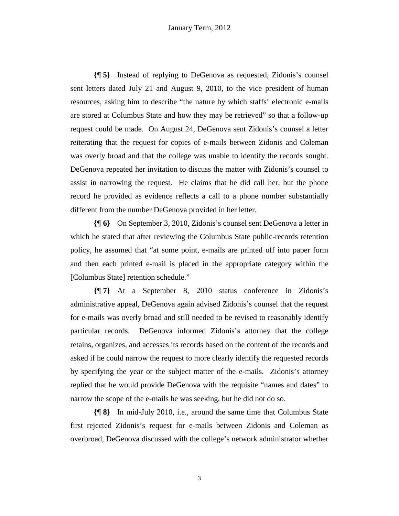**{¶ 5}** Instead of replying to DeGenova as requested, Zidonis's counsel sent letters dated July 21 and August 9, 2010, to the vice president of human resources, asking him to describe "the nature by which staffs' electronic e-mails are stored at Columbus State and how they may be retrieved" so that a follow-up request could be made. On August 24, DeGenova sent Zidonis's counsel a letter reiterating that the request for copies of e-mails between Zidonis and Coleman was overly broad and that the college was unable to identify the records sought. DeGenova repeated her invitation to discuss the matter with Zidonis's counsel to assist in narrowing the request. He claims that he did call her, but the phone record he provided as evidence reflects a call to a phone number substantially different from the number DeGenova provided in her letter.

**{¶ 6}** On September 3, 2010, Zidonis's counsel sent DeGenova a letter in which he stated that after reviewing the Columbus State public-records retention policy, he assumed that "at some point, e-mails are printed off into paper form and then each printed e-mail is placed in the appropriate category within the [Columbus State] retention schedule."

**{¶ 7}** At a September 8, 2010 status conference in Zidonis's administrative appeal, DeGenova again advised Zidonis's counsel that the request for e-mails was overly broad and still needed to be revised to reasonably identify particular records. DeGenova informed Zidonis's attorney that the college retains, organizes, and accesses its records based on the content of the records and asked if he could narrow the request to more clearly identify the requested records by specifying the year or the subject matter of the e-mails. Zidonis's attorney replied that he would provide DeGenova with the requisite "names and dates" to narrow the scope of the e-mails he was seeking, but he did not do so.

**{¶ 8}** In mid-July 2010, i.e., around the same time that Columbus State first rejected Zidonis's request for e-mails between Zidonis and Coleman as overbroad, DeGenova discussed with the college's network administrator whether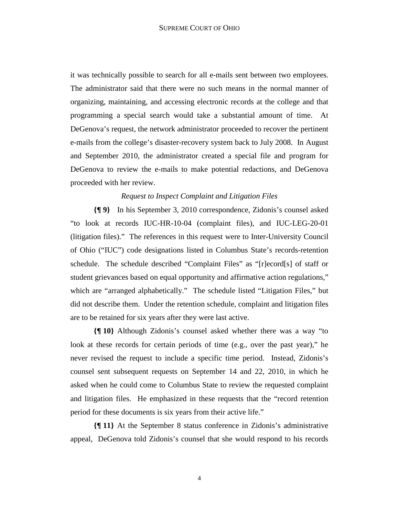it was technically possible to search for all e-mails sent between two employees. The administrator said that there were no such means in the normal manner of organizing, maintaining, and accessing electronic records at the college and that programming a special search would take a substantial amount of time. At DeGenova's request, the network administrator proceeded to recover the pertinent e-mails from the college's disaster-recovery system back to July 2008. In August and September 2010, the administrator created a special file and program for DeGenova to review the e-mails to make potential redactions, and DeGenova proceeded with her review.

## *Request to Inspect Complaint and Litigation Files*

**{¶ 9}** In his September 3, 2010 correspondence, Zidonis's counsel asked "to look at records IUC-HR-10-04 (complaint files), and IUC-LEG-20-01 (litigation files)." The references in this request were to Inter-University Council of Ohio ("IUC") code designations listed in Columbus State's records-retention schedule. The schedule described "Complaint Files" as "[r]ecord[s] of staff or student grievances based on equal opportunity and affirmative action regulations," which are "arranged alphabetically." The schedule listed "Litigation Files," but did not describe them. Under the retention schedule, complaint and litigation files are to be retained for six years after they were last active.

**{¶ 10}** Although Zidonis's counsel asked whether there was a way "to look at these records for certain periods of time (e.g., over the past year)," he never revised the request to include a specific time period. Instead, Zidonis's counsel sent subsequent requests on September 14 and 22, 2010, in which he asked when he could come to Columbus State to review the requested complaint and litigation files. He emphasized in these requests that the "record retention period for these documents is six years from their active life."

**{¶ 11}** At the September 8 status conference in Zidonis's administrative appeal, DeGenova told Zidonis's counsel that she would respond to his records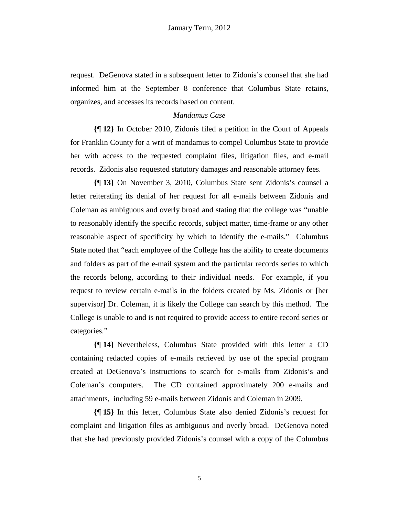request. DeGenova stated in a subsequent letter to Zidonis's counsel that she had informed him at the September 8 conference that Columbus State retains, organizes, and accesses its records based on content.

#### *Mandamus Case*

**{¶ 12}** In October 2010, Zidonis filed a petition in the Court of Appeals for Franklin County for a writ of mandamus to compel Columbus State to provide her with access to the requested complaint files, litigation files, and e-mail records. Zidonis also requested statutory damages and reasonable attorney fees.

**{¶ 13}** On November 3, 2010, Columbus State sent Zidonis's counsel a letter reiterating its denial of her request for all e-mails between Zidonis and Coleman as ambiguous and overly broad and stating that the college was "unable to reasonably identify the specific records, subject matter, time-frame or any other reasonable aspect of specificity by which to identify the e-mails." Columbus State noted that "each employee of the College has the ability to create documents and folders as part of the e-mail system and the particular records series to which the records belong, according to their individual needs. For example, if you request to review certain e-mails in the folders created by Ms. Zidonis or [her supervisor] Dr. Coleman, it is likely the College can search by this method. The College is unable to and is not required to provide access to entire record series or categories."

**{¶ 14}** Nevertheless, Columbus State provided with this letter a CD containing redacted copies of e-mails retrieved by use of the special program created at DeGenova's instructions to search for e-mails from Zidonis's and Coleman's computers. The CD contained approximately 200 e-mails and attachments, including 59 e-mails between Zidonis and Coleman in 2009.

**{¶ 15}** In this letter, Columbus State also denied Zidonis's request for complaint and litigation files as ambiguous and overly broad. DeGenova noted that she had previously provided Zidonis's counsel with a copy of the Columbus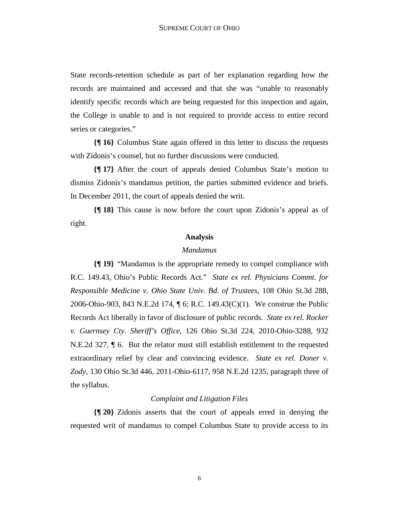State records-retention schedule as part of her explanation regarding how the records are maintained and accessed and that she was "unable to reasonably identify specific records which are being requested for this inspection and again, the College is unable to and is not required to provide access to entire record series or categories."

**{¶ 16}** Columbus State again offered in this letter to discuss the requests with Zidonis's counsel, but no further discussions were conducted.

**{¶ 17}** After the court of appeals denied Columbus State's motion to dismiss Zidonis's mandamus petition, the parties submitted evidence and briefs. In December 2011, the court of appeals denied the writ.

**{¶ 18}** This cause is now before the court upon Zidonis's appeal as of right.

#### **Analysis**

#### *Mandamus*

**{¶ 19}** "Mandamus is the appropriate remedy to compel compliance with R.C. 149.43, Ohio's Public Records Act." *State ex rel. Physicians Commt. for Responsible Medicine v. Ohio State Univ. Bd. of Trustees*, 108 Ohio St.3d 288, 2006-Ohio-903, 843 N.E.2d 174, ¶ 6; R.C. 149.43(C)(1). We construe the Public Records Act liberally in favor of disclosure of public records. *State ex rel. Rocker v. Guernsey Cty. Sheriff's Office*, 126 Ohio St.3d 224, 2010-Ohio-3288, 932 N.E.2d 327, ¶ 6. But the relator must still establish entitlement to the requested extraordinary relief by clear and convincing evidence. *State ex rel. Doner v. Zody*, 130 Ohio St.3d 446, 2011-Ohio-6117, 958 N.E.2d 1235, paragraph three of the syllabus.

### *Complaint and Litigation Files*

**{¶ 20}** Zidonis asserts that the court of appeals erred in denying the requested writ of mandamus to compel Columbus State to provide access to its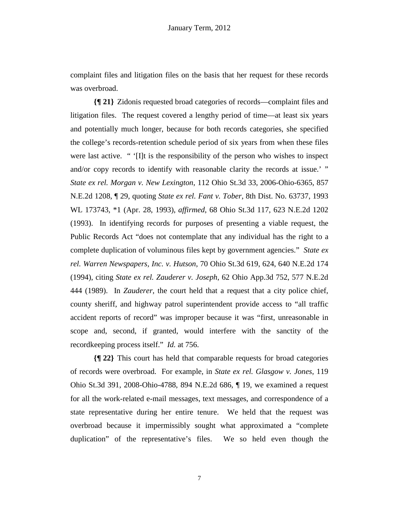complaint files and litigation files on the basis that her request for these records was overbroad.

**{¶ 21}** Zidonis requested broad categories of records—complaint files and litigation files. The request covered a lengthy period of time—at least six years and potentially much longer, because for both records categories, she specified the college's records-retention schedule period of six years from when these files were last active. " '[I]t is the responsibility of the person who wishes to inspect and/or copy records to identify with reasonable clarity the records at issue.' " *State ex rel. Morgan v. New Lexington*, 112 Ohio St.3d 33, 2006-Ohio-6365, 857 N.E.2d 1208, ¶ 29, quoting *State ex rel. Fant v. Tober*, 8th Dist. No. 63737, 1993 WL 173743, \*1 (Apr. 28, 1993), *affirmed*, 68 Ohio St.3d 117, 623 N.E.2d 1202 (1993). In identifying records for purposes of presenting a viable request, the Public Records Act "does not contemplate that any individual has the right to a complete duplication of voluminous files kept by government agencies." *State ex rel. Warren Newspapers, Inc. v. Hutson*, 70 Ohio St.3d 619, 624, 640 N.E.2d 174 (1994), citing *State ex rel. Zauderer v. Joseph*, 62 Ohio App.3d 752, 577 N.E.2d 444 (1989). In *Zauderer*, the court held that a request that a city police chief, county sheriff, and highway patrol superintendent provide access to "all traffic accident reports of record" was improper because it was "first, unreasonable in scope and, second, if granted, would interfere with the sanctity of the recordkeeping process itself." *Id.* at 756.

**{¶ 22}** This court has held that comparable requests for broad categories of records were overbroad. For example, in *State ex rel. Glasgow v. Jones*, 119 Ohio St.3d 391, 2008-Ohio-4788, 894 N.E.2d 686, ¶ 19, we examined a request for all the work-related e-mail messages, text messages, and correspondence of a state representative during her entire tenure. We held that the request was overbroad because it impermissibly sought what approximated a "complete duplication" of the representative's files. We so held even though the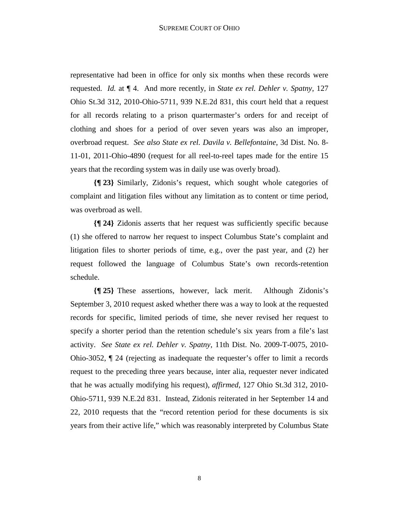representative had been in office for only six months when these records were requested. *Id.* at ¶ 4. And more recently, in *State ex rel. Dehler v. Spatny*, 127 Ohio St.3d 312, 2010-Ohio-5711, 939 N.E.2d 831, this court held that a request for all records relating to a prison quartermaster's orders for and receipt of clothing and shoes for a period of over seven years was also an improper, overbroad request. *See also State ex rel. Davila v. Bellefontaine*, 3d Dist. No. 8- 11-01, 2011-Ohio-4890 (request for all reel-to-reel tapes made for the entire 15 years that the recording system was in daily use was overly broad).

**{¶ 23}** Similarly, Zidonis's request, which sought whole categories of complaint and litigation files without any limitation as to content or time period, was overbroad as well.

**{¶ 24}** Zidonis asserts that her request was sufficiently specific because (1) she offered to narrow her request to inspect Columbus State's complaint and litigation files to shorter periods of time, e.g., over the past year, and (2) her request followed the language of Columbus State's own records-retention schedule.

**{¶ 25}** These assertions, however, lack merit. Although Zidonis's September 3, 2010 request asked whether there was a way to look at the requested records for specific, limited periods of time, she never revised her request to specify a shorter period than the retention schedule's six years from a file's last activity. *See State ex rel. Dehler v. Spatny*, 11th Dist. No. 2009-T-0075, 2010- Ohio-3052, ¶ 24 (rejecting as inadequate the requester's offer to limit a records request to the preceding three years because, inter alia, requester never indicated that he was actually modifying his request), *affirmed*, 127 Ohio St.3d 312, 2010- Ohio-5711, 939 N.E.2d 831. Instead, Zidonis reiterated in her September 14 and 22, 2010 requests that the "record retention period for these documents is six years from their active life," which was reasonably interpreted by Columbus State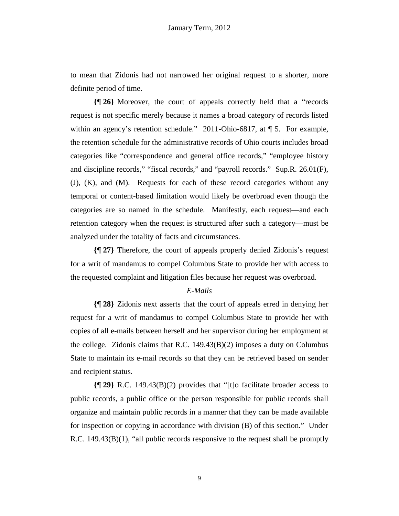to mean that Zidonis had not narrowed her original request to a shorter, more definite period of time.

**{¶ 26}** Moreover, the court of appeals correctly held that a "records request is not specific merely because it names a broad category of records listed within an agency's retention schedule." 2011-Ohio-6817, at ¶ 5. For example, the retention schedule for the administrative records of Ohio courts includes broad categories like "correspondence and general office records," "employee history and discipline records," "fiscal records," and "payroll records." Sup.R. 26.01(F), (J), (K), and (M). Requests for each of these record categories without any temporal or content-based limitation would likely be overbroad even though the categories are so named in the schedule. Manifestly, each request—and each retention category when the request is structured after such a category—must be analyzed under the totality of facts and circumstances.

**{¶ 27}** Therefore, the court of appeals properly denied Zidonis's request for a writ of mandamus to compel Columbus State to provide her with access to the requested complaint and litigation files because her request was overbroad.

## *E-Mails*

**{¶ 28}** Zidonis next asserts that the court of appeals erred in denying her request for a writ of mandamus to compel Columbus State to provide her with copies of all e-mails between herself and her supervisor during her employment at the college. Zidonis claims that R.C. 149.43(B)(2) imposes a duty on Columbus State to maintain its e-mail records so that they can be retrieved based on sender and recipient status.

**{¶ 29}** R.C. 149.43(B)(2) provides that "[t]o facilitate broader access to public records, a public office or the person responsible for public records shall organize and maintain public records in a manner that they can be made available for inspection or copying in accordance with division (B) of this section." Under R.C. 149.43(B)(1), "all public records responsive to the request shall be promptly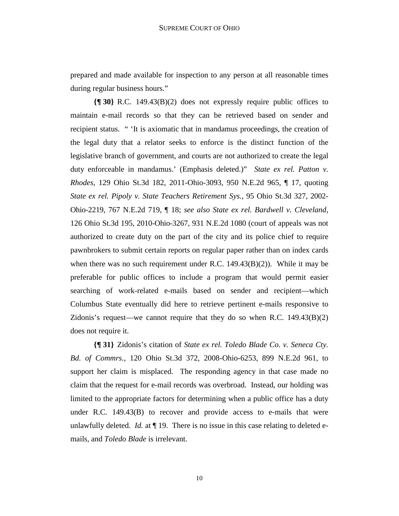prepared and made available for inspection to any person at all reasonable times during regular business hours."

**{¶ 30}** R.C. 149.43(B)(2) does not expressly require public offices to maintain e-mail records so that they can be retrieved based on sender and recipient status. " 'It is axiomatic that in mandamus proceedings, the creation of the legal duty that a relator seeks to enforce is the distinct function of the legislative branch of government, and courts are not authorized to create the legal duty enforceable in mandamus.' (Emphasis deleted.)" *State ex rel. Patton v. Rhodes*, 129 Ohio St.3d 182, 2011-Ohio-3093, 950 N.E.2d 965, ¶ 17, quoting *State ex rel. Pipoly v. State Teachers Retirement Sys.*, 95 Ohio St.3d 327, 2002- Ohio-2219, 767 N.E.2d 719, ¶ 18; *see also State ex rel. Bardwell v. Cleveland*, 126 Ohio St.3d 195, 2010-Ohio-3267, 931 N.E.2d 1080 (court of appeals was not authorized to create duty on the part of the city and its police chief to require pawnbrokers to submit certain reports on regular paper rather than on index cards when there was no such requirement under R.C.  $149.43(B)(2)$ ). While it may be preferable for public offices to include a program that would permit easier searching of work-related e-mails based on sender and recipient—which Columbus State eventually did here to retrieve pertinent e-mails responsive to Zidonis's request—we cannot require that they do so when R.C.  $149.43(B)(2)$ does not require it.

**{¶ 31}** Zidonis's citation of *State ex rel. Toledo Blade Co. v. Seneca Cty. Bd. of Commrs.*, 120 Ohio St.3d 372, 2008-Ohio-6253, 899 N.E.2d 961, to support her claim is misplaced. The responding agency in that case made no claim that the request for e-mail records was overbroad. Instead, our holding was limited to the appropriate factors for determining when a public office has a duty under R.C. 149.43(B) to recover and provide access to e-mails that were unlawfully deleted. *Id.* at  $\P$  19. There is no issue in this case relating to deleted emails, and *Toledo Blade* is irrelevant.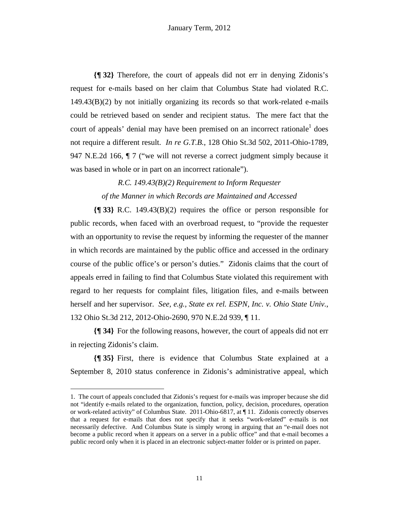**{¶ 32}** Therefore, the court of appeals did not err in denying Zidonis's request for e-mails based on her claim that Columbus State had violated R.C.  $149.43(B)(2)$  by not initially organizing its records so that work-related e-mails could be retrieved based on sender and recipient status. The mere fact that the court of appeals' denial may have been premised on an incorrect rationale<sup>1</sup> does not require a different result. *In re G.T.B.*, 128 Ohio St.3d 502, 2011-Ohio-1789, 947 N.E.2d 166, ¶ 7 ("we will not reverse a correct judgment simply because it was based in whole or in part on an incorrect rationale").

> *R.C. 149.43(B)(2) Requirement to Inform Requester of the Manner in which Records are Maintained and Accessed*

**{¶ 33}** R.C. 149.43(B)(2) requires the office or person responsible for public records, when faced with an overbroad request, to "provide the requester with an opportunity to revise the request by informing the requester of the manner in which records are maintained by the public office and accessed in the ordinary course of the public office's or person's duties." Zidonis claims that the court of appeals erred in failing to find that Columbus State violated this requirement with regard to her requests for complaint files, litigation files, and e-mails between herself and her supervisor. *See, e.g., State ex rel. ESPN, Inc. v. Ohio State Univ.*, 132 Ohio St.3d 212, 2012-Ohio-2690, 970 N.E.2d 939, ¶ 11.

**{¶ 34}** For the following reasons, however, the court of appeals did not err in rejecting Zidonis's claim.

**{¶ 35}** First, there is evidence that Columbus State explained at a September 8, 2010 status conference in Zidonis's administrative appeal, which

-

<sup>1.</sup> The court of appeals concluded that Zidonis's request for e-mails was improper because she did not "identify e-mails related to the organization, function, policy, decision, procedures, operation or work-related activity" of Columbus State. 2011-Ohio-6817, at ¶ 11. Zidonis correctly observes that a request for e-mails that does not specify that it seeks "work-related" e-mails is not necessarily defective. And Columbus State is simply wrong in arguing that an "e-mail does not become a public record when it appears on a server in a public office" and that e-mail becomes a public record only when it is placed in an electronic subject-matter folder or is printed on paper.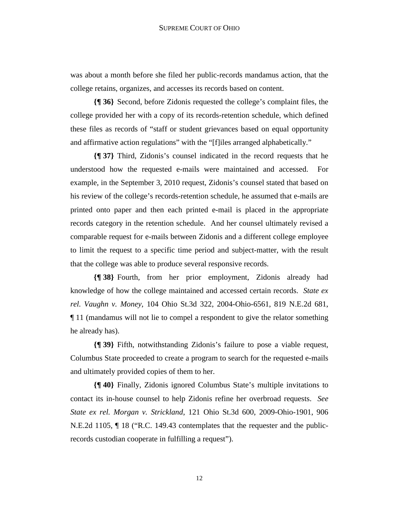was about a month before she filed her public-records mandamus action, that the college retains, organizes, and accesses its records based on content.

**{¶ 36}** Second, before Zidonis requested the college's complaint files, the college provided her with a copy of its records-retention schedule, which defined these files as records of "staff or student grievances based on equal opportunity and affirmative action regulations" with the "[f]iles arranged alphabetically."

**{¶ 37}** Third, Zidonis's counsel indicated in the record requests that he understood how the requested e-mails were maintained and accessed. For example, in the September 3, 2010 request, Zidonis's counsel stated that based on his review of the college's records-retention schedule, he assumed that e-mails are printed onto paper and then each printed e-mail is placed in the appropriate records category in the retention schedule. And her counsel ultimately revised a comparable request for e-mails between Zidonis and a different college employee to limit the request to a specific time period and subject-matter, with the result that the college was able to produce several responsive records.

**{¶ 38}** Fourth, from her prior employment, Zidonis already had knowledge of how the college maintained and accessed certain records. *State ex rel. Vaughn v. Money*, 104 Ohio St.3d 322, 2004-Ohio-6561, 819 N.E.2d 681, ¶ 11 (mandamus will not lie to compel a respondent to give the relator something he already has).

**{¶ 39}** Fifth, notwithstanding Zidonis's failure to pose a viable request, Columbus State proceeded to create a program to search for the requested e-mails and ultimately provided copies of them to her.

**{¶ 40}** Finally, Zidonis ignored Columbus State's multiple invitations to contact its in-house counsel to help Zidonis refine her overbroad requests. *See State ex rel. Morgan v. Strickland*, 121 Ohio St.3d 600, 2009-Ohio-1901, 906 N.E.2d 1105, ¶ 18 ("R.C. 149.43 contemplates that the requester and the publicrecords custodian cooperate in fulfilling a request").